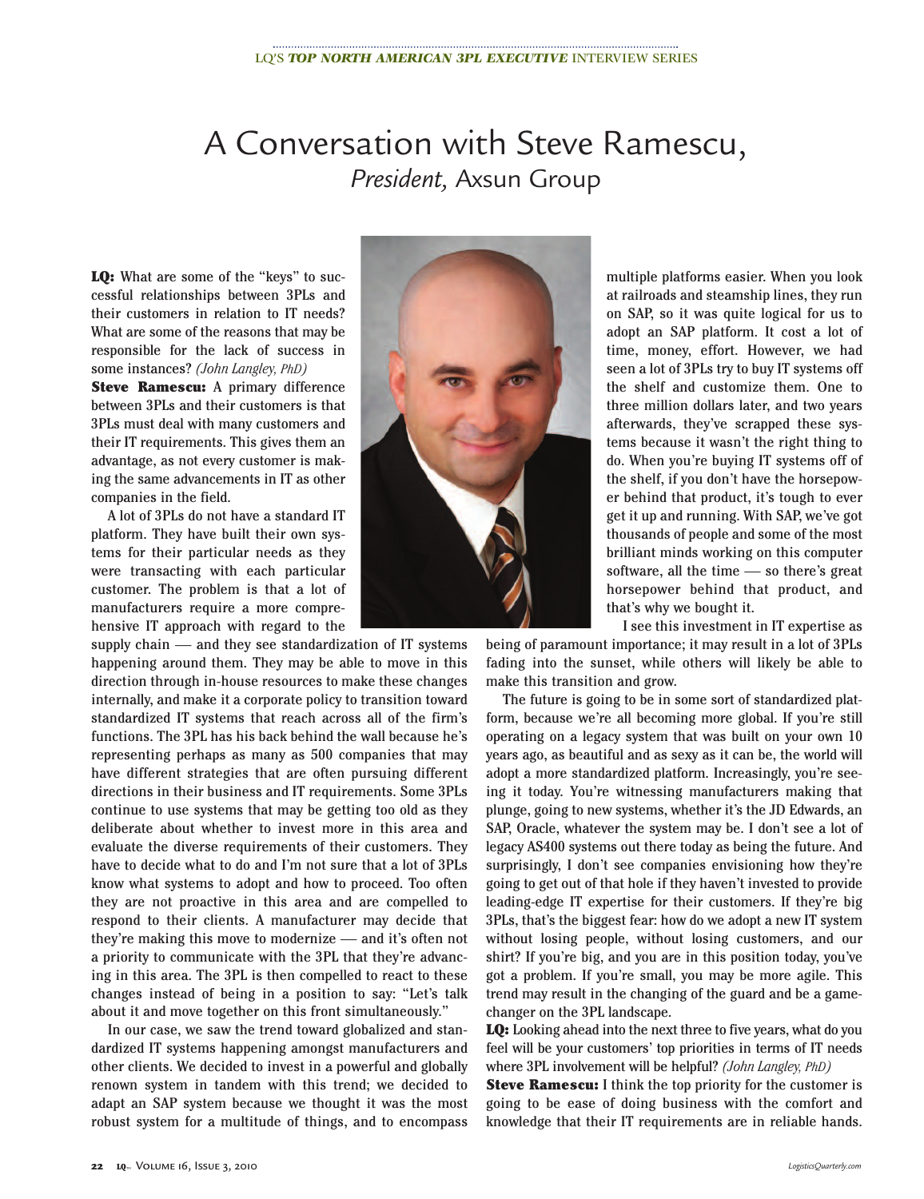## A Conversation with Steve Ramescu, *President,* Axsun Group

**LQ:** What are some of the "keys" to successful relationships between 3PLs and their customers in relation to IT needs? What are some of the reasons that may be responsible for the lack of success in some instances? *(John Langley, PhD)*

**Steve Ramescu:** A primary difference between 3PLs and their customers is that 3PLs must deal with many customers and their IT requirements. This gives them an advantage, as not every customer is making the same advancements in IT as other companies in the field.

A lot of 3PLs do not have a standard IT platform. They have built their own systems for their particular needs as they were transacting with each particular customer. The problem is that a lot of manufacturers require a more comprehensive IT approach with regard to the

supply chain — and they see standardization of IT systems happening around them. They may be able to move in this direction through in-house resources to make these changes internally, and make it a corporate policy to transition toward standardized IT systems that reach across all of the firm's functions. The 3PL has his back behind the wall because he's representing perhaps as many as 500 companies that may have different strategies that are often pursuing different directions in their business and IT requirements. Some 3PLs continue to use systems that may be getting too old as they deliberate about whether to invest more in this area and evaluate the diverse requirements of their customers. They have to decide what to do and I'm not sure that a lot of 3PLs know what systems to adopt and how to proceed. Too often they are not proactive in this area and are compelled to respond to their clients. A manufacturer may decide that they're making this move to modernize — and it's often not a priority to communicate with the 3PL that they're advancing in this area. The 3PL is then compelled to react to these changes instead of being in a position to say: "Let's talk about it and move together on this front simultaneously."

In our case, we saw the trend toward globalized and standardized IT systems happening amongst manufacturers and other clients. We decided to invest in a powerful and globally renown system in tandem with this trend; we decided to adapt an SAP system because we thought it was the most robust system for a multitude of things, and to encompass



multiple platforms easier. When you look at railroads and steamship lines, they run on SAP, so it was quite logical for us to adopt an SAP platform. It cost a lot of time, money, effort. However, we had seen a lot of 3PLs try to buy IT systems off the shelf and customize them. One to three million dollars later, and two years afterwards, they've scrapped these systems because it wasn't the right thing to do. When you're buying IT systems off of the shelf, if you don't have the horsepower behind that product, it's tough to ever get it up and running. With SAP, we've got thousands of people and some of the most brilliant minds working on this computer software, all the time — so there's great horsepower behind that product, and that's why we bought it.

I see this investment in IT expertise as

being of paramount importance; it may result in a lot of 3PLs fading into the sunset, while others will likely be able to make this transition and grow.

The future is going to be in some sort of standardized platform, because we're all becoming more global. If you're still operating on a legacy system that was built on your own 10 years ago, as beautiful and as sexy as it can be, the world will adopt a more standardized platform. Increasingly, you're seeing it today. You're witnessing manufacturers making that plunge, going to new systems, whether it's the JD Edwards, an SAP, Oracle, whatever the system may be. I don't see a lot of legacy AS400 systems out there today as being the future. And surprisingly, I don't see companies envisioning how they're going to get out of that hole if they haven't invested to provide leading-edge IT expertise for their customers. If they're big 3PLs, that's the biggest fear: how do we adopt a new IT system without losing people, without losing customers, and our shirt? If you're big, and you are in this position today, you've got a problem. If you're small, you may be more agile. This trend may result in the changing of the guard and be a gamechanger on the 3PL landscape.

**LQ:** Looking ahead into the next three to five years, what do you feel will be your customers' top priorities in terms of IT needs where 3PL involvement will be helpful? *(John Langley, PhD)*

**Steve Ramescu:** I think the top priority for the customer is going to be ease of doing business with the comfort and knowledge that their IT requirements are in reliable hands.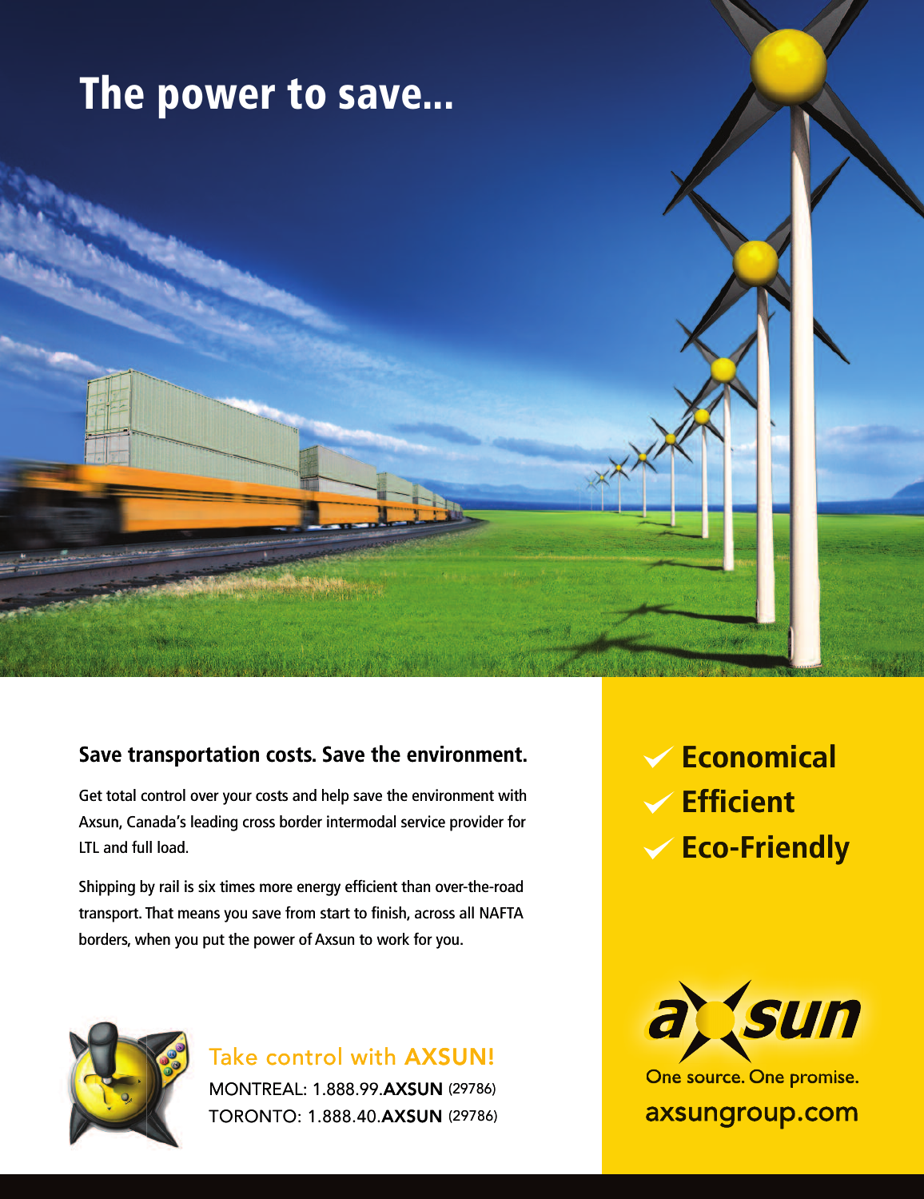## **The power to save...**

## **Save transportation costs. Save the environment.**

Get total control over your costs and help save the environment with<br>Axsun, Canada's leading cross border intermodal service provider for<br>LTL and full load.<br>Shipping by rail is six times more energy efficient than over-the Axsun, Canada's leading cross border intermodal service provider for LTL and full load.

x times more energy efficient than over-the-ro<br>ns you save from start to finish, across all NAF<br>out the power of Axsun to work for you.<br>Take control with **AXSUN!** Shipping by rail is six times more energy efficient than over-the-road transport. That means you save from start to finish, across all NAFTA<br>borders, when you put the power of Axsun to work for you. borders, when you put the power of Axsun to work for you.



MONTREAL: 1.888.99.**AXSUN** (29786) MONTREAL: 1.888.99.**AXSUN** (29786)<br>TORONTO: 1.888.40.**AXSUN** (29786)

**Economical Efficient Eco-Friendly**



One source. One promise.

axsungroup.com